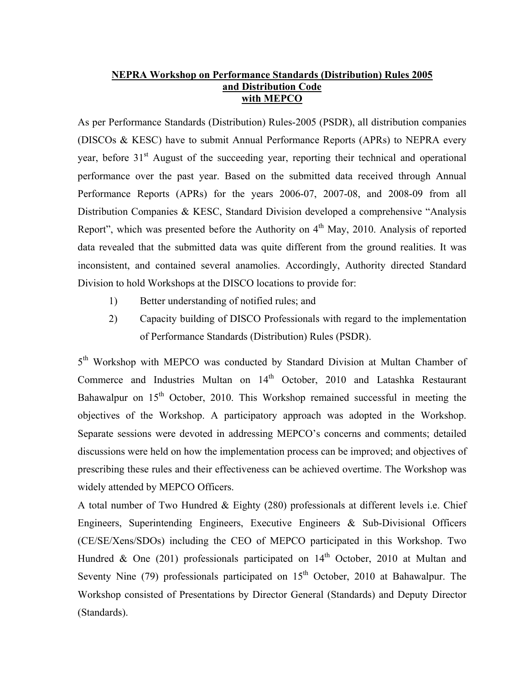## **NEPRA Workshop on Performance Standards (Distribution) Rules 2005 and Distribution Code with MEPCO**

As per Performance Standards (Distribution) Rules-2005 (PSDR), all distribution companies (DISCOs & KESC) have to submit Annual Performance Reports (APRs) to NEPRA every year, before 31<sup>st</sup> August of the succeeding year, reporting their technical and operational performance over the past year. Based on the submitted data received through Annual Performance Reports (APRs) for the years 2006-07, 2007-08, and 2008-09 from all Distribution Companies & KESC, Standard Division developed a comprehensive "Analysis Report", which was presented before the Authority on  $4<sup>th</sup>$  May, 2010. Analysis of reported data revealed that the submitted data was quite different from the ground realities. It was inconsistent, and contained several anamolies. Accordingly, Authority directed Standard Division to hold Workshops at the DISCO locations to provide for:

- 1) Better understanding of notified rules; and
- 2) Capacity building of DISCO Professionals with regard to the implementation of Performance Standards (Distribution) Rules (PSDR).

5<sup>th</sup> Workshop with MEPCO was conducted by Standard Division at Multan Chamber of Commerce and Industries Multan on 14<sup>th</sup> October, 2010 and Latashka Restaurant Bahawalpur on  $15<sup>th</sup>$  October, 2010. This Workshop remained successful in meeting the objectives of the Workshop. A participatory approach was adopted in the Workshop. Separate sessions were devoted in addressing MEPCO's concerns and comments; detailed discussions were held on how the implementation process can be improved; and objectives of prescribing these rules and their effectiveness can be achieved overtime. The Workshop was widely attended by MEPCO Officers.

A total number of Two Hundred & Eighty (280) professionals at different levels i.e. Chief Engineers, Superintending Engineers, Executive Engineers & Sub-Divisional Officers (CE/SE/Xens/SDOs) including the CEO of MEPCO participated in this Workshop. Two Hundred & One (201) professionals participated on  $14<sup>th</sup>$  October, 2010 at Multan and Seventy Nine (79) professionals participated on  $15<sup>th</sup>$  October, 2010 at Bahawalpur. The Workshop consisted of Presentations by Director General (Standards) and Deputy Director (Standards).